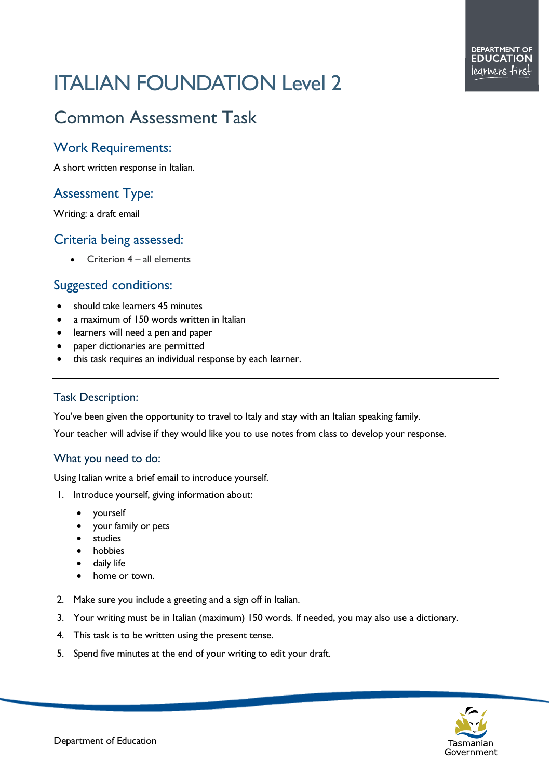# ITALIAN FOUNDATION Level 2

# Common Assessment Task

### Work Requirements:

A short written response in Italian.

# Assessment Type:

Writing: a draft email

#### Criteria being assessed:

• Criterion 4 – all elements

# Suggested conditions:

- should take learners 45 minutes
- a maximum of 150 words written in Italian
- learners will need a pen and paper
- paper dictionaries are permitted
- this task requires an individual response by each learner.

#### Task Description:

You've been given the opportunity to travel to Italy and stay with an Italian speaking family.

Your teacher will advise if they would like you to use notes from class to develop your response.

#### What you need to do:

Using Italian write a brief email to introduce yourself.

- 1. Introduce yourself, giving information about:
	- yourself
	- your family or pets
	- **studies**
	- **hobbies**
	- daily life
	- home or town.
- 2. Make sure you include a greeting and a sign off in Italian.
- 3. Your writing must be in Italian (maximum) 150 words. If needed, you may also use a dictionary.
- 4. This task is to be written using the present tense.
- 5. Spend five minutes at the end of your writing to edit your draft.